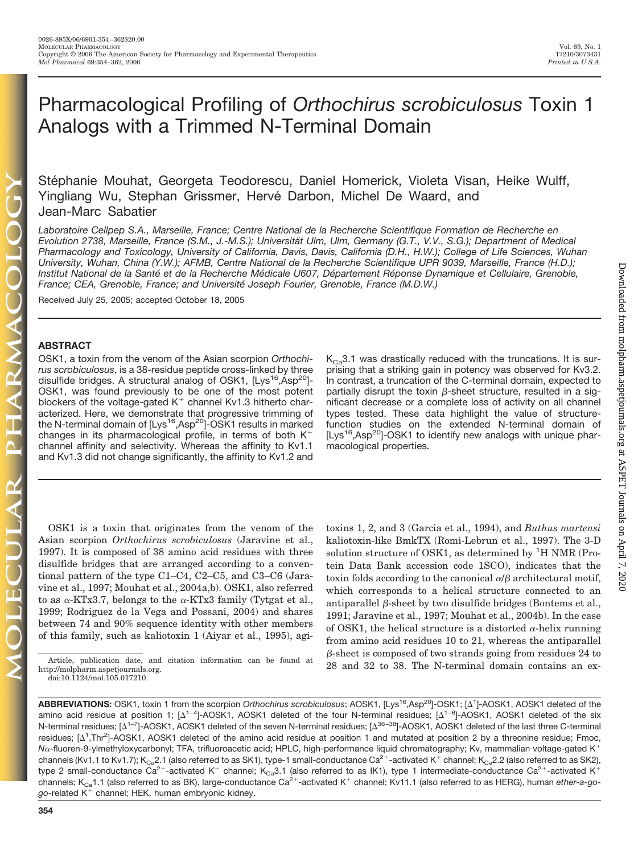Downloaded from molpharm.aspetjournals.org at ASPET Journals on April 7, 2020 Downloaded from [molpharm.aspetjournals.org](http://molpharm.aspetjournals.org/) at ASPET Journals on April 7, 2020

# Pharmacological Profiling of *Orthochirus scrobiculosus* Toxin 1 Analogs with a Trimmed N-Terminal Domain

Stéphanie Mouhat, Georgeta Teodorescu, Daniel Homerick, Violeta Visan, Heike Wulff, Yingliang Wu, Stephan Grissmer, Hervé Darbon, Michel De Waard, and Jean-Marc Sabatier

*Laboratoire Cellpep S.A., Marseille, France; Centre National de la Recherche Scientifique Formation de Recherche en Evolution 2738, Marseille, France (S.M., J.-M.S.); Universita¨ t Ulm, Ulm, Germany (G.T., V.V., S.G.); Department of Medical Pharmacology and Toxicology, University of California, Davis, Davis, California (D.H., H.W.); College of Life Sciences, Wuhan University, Wuhan, China (Y.W.); AFMB, Centre National de la Recherche Scientifique UPR 9039, Marseille, France (H.D.);* Institut National de la Santé et de la Recherche Médicale U607, Département Réponse Dynamique et Cellulaire, Grenoble, *France; CEA, Grenoble, France; and Universite´ Joseph Fourier, Grenoble, France (M.D.W.)*

Received July 25, 2005; accepted October 18, 2005

# **ABSTRACT**

OSK1, a toxin from the venom of the Asian scorpion *Orthochirus scrobiculosus*, is a 38-residue peptide cross-linked by three disulfide bridges. A structural analog of OSK1, [Lys<sup>16</sup>,Asp<sup>20</sup>]-OSK1, was found previously to be one of the most potent blockers of the voltage-gated  $K^+$  channel Kv1.3 hitherto characterized. Here, we demonstrate that progressive trimming of the N-terminal domain of  $[Lys^{16}, Asp^{20}]$ -OSK1 results in marked changes in its pharmacological profile, in terms of both  $K^+$ channel affinity and selectivity. Whereas the affinity to Kv1.1 and Kv1.3 did not change significantly, the affinity to Kv1.2 and

 $K<sub>Ca</sub>3.1$  was drastically reduced with the truncations. It is surprising that a striking gain in potency was observed for Kv3.2. In contrast, a truncation of the C-terminal domain, expected to partially disrupt the toxin  $\beta$ -sheet structure, resulted in a significant decrease or a complete loss of activity on all channel types tested. These data highlight the value of structurefunction studies on the extended N-terminal domain of  $[Lys^{16}, Asp^{20}]-OSK1$  to identify new analogs with unique pharmacological properties.

OSK1 is a toxin that originates from the venom of the Asian scorpion *Orthochirus scrobiculosus* (Jaravine et al., 1997). It is composed of 38 amino acid residues with three disulfide bridges that are arranged according to a conventional pattern of the type C1–C4, C2–C5, and C3–C6 (Jaravine et al., 1997; Mouhat et al., 2004a,b). OSK1, also referred to as  $\alpha$ -KTx3.7, belongs to the  $\alpha$ -KTx3 family (Tytgat et al., 1999; Rodriguez de la Vega and Possani, 2004) and shares between 74 and 90% sequence identity with other members of this family, such as kaliotoxin 1 (Aiyar et al., 1995), agi-

toxins 1, 2, and 3 (Garcia et al., 1994), and *Buthus martensi* kaliotoxin-like BmkTX (Romi-Lebrun et al., 1997). The 3-D solution structure of OSK1, as determined by <sup>1</sup>H NMR (Protein Data Bank accession code 1SCO), indicates that the toxin folds according to the canonical  $\alpha/\beta$  architectural motif, which corresponds to a helical structure connected to an antiparallel  $\beta$ -sheet by two disulfide bridges (Bontems et al., 1991; Jaravine et al., 1997; Mouhat et al., 2004b). In the case of OSK1, the helical structure is a distorted  $\alpha$ -helix running from amino acid residues 10 to 21, whereas the antiparallel  $\beta$ -sheet is composed of two strands going from residues 24 to Article, publication date, and citation information can be found at  $\frac{p}{28}$  and 32 to 38. The N-terminal domain contains an ex-

http://molpharm.aspetjournals.org. doi:10.1124/mol.105.017210.

**ABBREVIATIONS:** OSK1, toxin 1 from the scorpion *Orthochirus scrobiculosus*; AOSK1, [Lys16,Asp20]-OSK1; [-1 ]-AOSK1, AOSK1 deleted of the amino acid residue at position 1; [ $\Delta^{1-4}$ ]-AOSK1, AOSK1 deleted of the four N-terminal residues; [ $\Delta^{1-6}$ ]-AOSK1, AOSK1 deleted of the six N-terminal residues; [ $\Delta^{1-7}$ ]-AOSK1, AOSK1 deleted of the seven N-terminal residues; [ $\Delta^{36-38}$ ]-AOSK1, AOSK1 deleted of the last three C-terminal residues; [4<sup>1</sup>,Thr<sup>2</sup>]-AOSK1, AOSK1 deleted of the amino acid residue at position 1 and mutated at position 2 by a threonine residue; Fmoc, N<sub>a</sub>-fluoren-9-ylmethyloxycarbonyl; TFA, trifluoroacetic acid; HPLC, high-performance liquid chromatography; Kv, mammalian voltage-gated K<sup>+</sup> channels (Kv1.1 to Kv1.7); K<sub>Ca</sub>2.1 (also referred to as SK1), type-1 small-conductance Ca<sup>2+</sup>-activated K<sup>+</sup> channel; K<sub>Ca</sub>2.2 (also referred to as SK2), type 2 small-conductance Ca<sup>2+</sup>-activated K<sup>+</sup> channel; K<sub>Ca</sub>3.1 (also referred to as IK1), type 1 intermediate-conductance Ca<sup>2+</sup>-activated K<sup>+</sup> channels; K<sub>Ca</sub>1.1 (also referred to as BK), large-conductance Ca<sup>2+</sup>-activated K<sup>+</sup> channel; Kv11.1 (also referred to as HERG), human *ether-a-go*go-related K<sup>+</sup> channel; HEK, human embryonic kidney.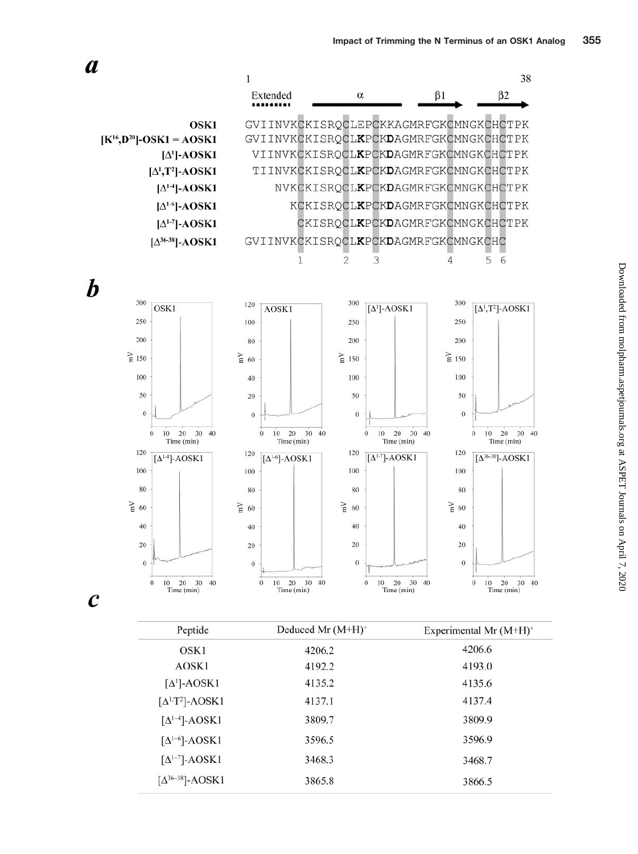

| Peptide                              | Deduced Mr $(M+H)^+$ | Experimental Mr $(M+H)^+$<br>4206.6 |  |  |  |
|--------------------------------------|----------------------|-------------------------------------|--|--|--|
| OSK1                                 | 4206.2               |                                     |  |  |  |
| AOSK1                                | 4192.2               | 4193.0                              |  |  |  |
| $\lceil \Delta^1 \rceil$ -AOSK1      | 4135.2               | 4135.6                              |  |  |  |
| $[\Delta^{1,T2}]$ -AOSK1             | 4137.1               | 4137.4                              |  |  |  |
| $\lceil \Delta^{1-4} \rceil$ -AOSK1  | 3809.7               | 3809.9                              |  |  |  |
| $\lceil \Delta^{1-6} \rceil$ -AOSK1  | 3596.5               | 3596.9                              |  |  |  |
| $[\Delta^{1-7}]$ -AOSK1              | 3468.3               | 3468.7                              |  |  |  |
| $\left[\Delta^{36-38}\right]$ -AOSK1 | 3865.8               | 3866.5                              |  |  |  |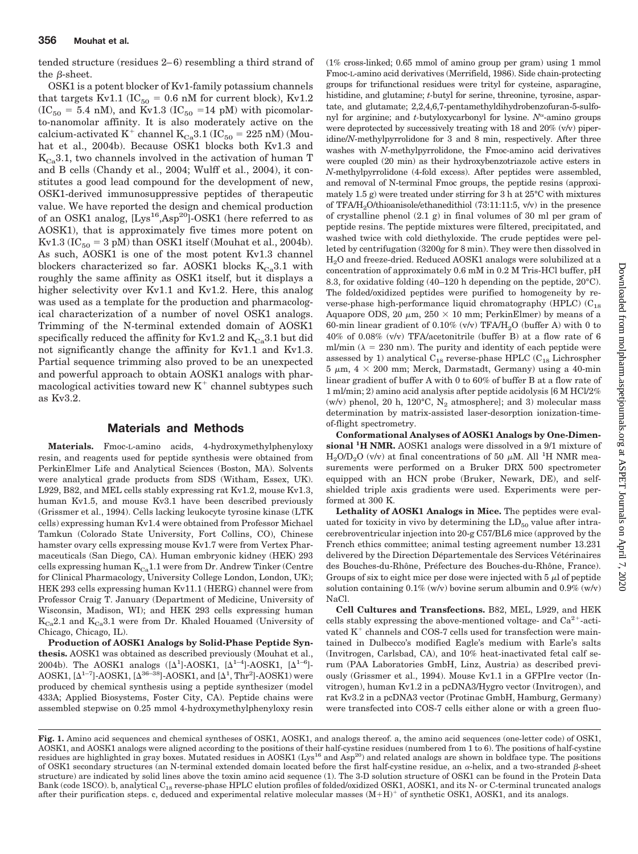tended structure (residues 2– 6) resembling a third strand of the  $\beta$ -sheet.

OSK1 is a potent blocker of Kv1-family potassium channels that targets Kv1.1 ( $IC_{50} = 0.6$  nM for current block), Kv1.2  $(IC<sub>50</sub> = 5.4 nM)$ , and Kv1.3  $(IC<sub>50</sub> = 14 pM)$  with picomolarto-nanomolar affinity. It is also moderately active on the calcium-activated K<sup>+</sup> channel K<sub>Ca</sub>3.1 (IC<sub>50</sub> = 225 nM) (Mouhat et al., 2004b). Because OSK1 blocks both Kv1.3 and  $K_{Ca}3.1$ , two channels involved in the activation of human T and B cells (Chandy et al., 2004; Wulff et al., 2004), it constitutes a good lead compound for the development of new, OSK1-derived immunosuppressive peptides of therapeutic value. We have reported the design and chemical production of an OSK1 analog, [Lys<sup>16</sup>,Asp<sup>20</sup>]-OSK1 (here referred to as AOSK1), that is approximately five times more potent on Kv1.3 ( $IC_{50} = 3 \text{ pM}$ ) than OSK1 itself (Mouhat et al., 2004b). As such, AOSK1 is one of the most potent Kv1.3 channel blockers characterized so far. AOSK1 blocks  $K_{Ca}3.1$  with roughly the same affinity as OSK1 itself, but it displays a higher selectivity over Kv1.1 and Kv1.2. Here, this analog was used as a template for the production and pharmacological characterization of a number of novel OSK1 analogs. Trimming of the N-terminal extended domain of AOSK1 specifically reduced the affinity for Kv1.2 and  $K_{Cs}3.1$  but did not significantly change the affinity for Kv1.1 and Kv1.3. Partial sequence trimming also proved to be an unexpected and powerful approach to obtain AOSK1 analogs with pharmacological activities toward new  $K^+$  channel subtypes such as Kv3.2.

## **Materials and Methods**

**Materials.** Fmoc-L-amino acids, 4-hydroxymethylphenyloxy resin, and reagents used for peptide synthesis were obtained from PerkinElmer Life and Analytical Sciences (Boston, MA). Solvents were analytical grade products from SDS (Witham, Essex, UK). L929, B82, and MEL cells stably expressing rat Kv1.2, mouse Kv1.3, human Kv1.5, and mouse Kv3.1 have been described previously (Grissmer et al., 1994). Cells lacking leukocyte tyrosine kinase (LTK cells) expressing human Kv1.4 were obtained from Professor Michael Tamkun (Colorado State University, Fort Collins, CO), Chinese hamster ovary cells expressing mouse Kv1.7 were from Vertex Pharmaceuticals (San Diego, CA). Human embryonic kidney (HEK) 293 cells expressing human  $K_{Ca}1.1$  were from Dr. Andrew Tinker (Centre for Clinical Pharmacology, University College London, London, UK); HEK 293 cells expressing human Kv11.1 (HERG) channel were from Professor Craig T. January (Department of Medicine, University of Wisconsin, Madison, WI); and HEK 293 cells expressing human  $K_{Ca}$ 2.1 and  $K_{Ca}$ 3.1 were from Dr. Khaled Houamed (University of Chicago, Chicago, IL).

**Production of AOSK1 Analogs by Solid-Phase Peptide Synthesis.** AOSK1 was obtained as described previously (Mouhat et al., 2004b). The AOSK1 analogs  $([\Delta^1]$ -AOSK1,  $[\Delta^{1-4}]$ -AOSK1,  $[\Delta^{1-6}]$ -AOSK1,  $[\Delta^{1-7}]$ -AOSK1,  $[\Delta^{36-38}]$ -AOSK1, and  $[\Delta^1, \text{Thr}^2]$ -AOSK1) were produced by chemical synthesis using a peptide synthesizer (model 433A; Applied Biosystems, Foster City, CA). Peptide chains were assembled stepwise on 0.25 mmol 4-hydroxymethylphenyloxy resin (1% cross-linked; 0.65 mmol of amino group per gram) using 1 mmol Fmoc-L-amino acid derivatives (Merrifield, 1986). Side chain-protecting groups for trifunctional residues were trityl for cysteine, asparagine, histidine, and glutamine; *t-*butyl for serine, threonine, tyrosine, aspartate, and glutamate; 2,2,4,6,7-pentamethyldihydrobenzofuran-5-sulfonyl for arginine; and *t*-butyloxycarbonyl for lysine. N<sup>a</sup>-amino groups were deprotected by successively treating with  $18$  and  $20\%$  (v/v) piperidine/*N*-methylpyrrolidone for 3 and 8 min, respectively. After three washes with *N*-methylpyrrolidone, the Fmoc-amino acid derivatives were coupled (20 min) as their hydroxybenzotriazole active esters in *N*-methylpyrrolidone (4-fold excess). After peptides were assembled, and removal of N-terminal Fmoc groups, the peptide resins (approximately 1.5 g) were treated under stirring for 3 h at  $25^{\circ}$ C with mixtures of TFA/H<sub>2</sub>O/thioanisole/ethanedithiol (73:11:11:5,  $v/v$ ) in the presence of crystalline phenol (2.1 g) in final volumes of 30 ml per gram of peptide resins. The peptide mixtures were filtered, precipitated, and washed twice with cold diethyloxide. The crude peptides were pelleted by centrifugation (3200*g* for 8 min). They were then dissolved in H2O and freeze-dried. Reduced AOSK1 analogs were solubilized at a concentration of approximately 0.6 mM in 0.2 M Tris-HCl buffer, pH 8.3, for oxidative folding (40–120 h depending on the peptide, 20°C). The folded/oxidized peptides were purified to homogeneity by reverse-phase high-performance liquid chromatography (HPLC)  $(C_{18})$ Aquapore ODS, 20  $\mu$ m, 250  $\times$  10 mm; PerkinElmer) by means of a 60-min linear gradient of 0.10% (v/v) TFA/H<sub>2</sub>O (buffer A) with 0 to 40% of 0.08% (v/v) TFA/acetonitrile (buffer B) at a flow rate of 6 ml/min ( $\lambda = 230$  nm). The purity and identity of each peptide were assessed by 1) analytical  $C_{18}$  reverse-phase HPLC ( $C_{18}$  Lichrospher  $5 \mu m$ ,  $4 \times 200 \text{ mm}$ ; Merck, Darmstadt, Germany) using a 40-min linear gradient of buffer A with 0 to 60% of buffer B at a flow rate of 1 ml/min; 2) amino acid analysis after peptide acidolysis [6 M HCl/2% (w/v) phenol, 20 h, 120°C,  $N_2$  atmosphere]; and 3) molecular mass determination by matrix-assisted laser-desorption ionization-timeof-flight spectrometry.

**Conformational Analyses of AOSK1 Analogs by One-Dimensional <sup>1</sup> H NMR.** AOSK1 analogs were dissolved in a 9/1 mixture of  $\rm H_2O/D_2O$  (v/v) at final concentrations of 50  $\rm \mu M.$  All  $^1\rm H$  NMR measurements were performed on a Bruker DRX 500 spectrometer equipped with an HCN probe (Bruker, Newark, DE), and selfshielded triple axis gradients were used. Experiments were performed at 300 K.

**Lethality of AOSK1 Analogs in Mice.** The peptides were evaluated for toxicity in vivo by determining the  $LD_{50}$  value after intracerebroventricular injection into 20-g C57/BL6 mice (approved by the French ethics committee; animal testing agreement number 13.231 delivered by the Direction Départementale des Services Vétérinaires des Bouches-du-Rhône, Préfecture des Bouches-du-Rhône, France). Groups of six to eight mice per dose were injected with  $5 \mu$  of peptide solution containing  $0.1\%$  (w/v) bovine serum albumin and  $0.9\%$  (w/v) NaCl.

**Cell Cultures and Transfections.** B82, MEL, L929, and HEK cells stably expressing the above-mentioned voltage- and  $Ca^{2+}$ -activated  $K^+$  channels and COS-7 cells used for transfection were maintained in Dulbecco's modified Eagle's medium with Earle's salts (Invitrogen, Carlsbad, CA), and 10% heat-inactivated fetal calf serum (PAA Laboratories GmbH, Linz, Austria) as described previously (Grissmer et al., 1994). Mouse Kv1.1 in a GFPIre vector (Invitrogen), human Kv1.2 in a pcDNA3/Hygro vector (Invitrogen), and rat Kv3.2 in a pcDNA3 vector (Protinac GmbH, Hamburg, Germany) were transfected into COS-7 cells either alone or with a green fluo-

**Fig. 1.** Amino acid sequences and chemical syntheses of OSK1, AOSK1, and analogs thereof. a, the amino acid sequences (one-letter code) of OSK1, AOSK1, and AOSK1 analogs were aligned according to the positions of their half-cystine residues (numbered from 1 to 6). The positions of half-cystine residues are highlighted in gray boxes. Mutated residues in AOSK1 (Lys<sup>16</sup> and Asp<sup>20</sup>) and related analogs are shown in boldface type. The positions of OSK1 secondary structures (an N-terminal extended domain located before the first half-cystine residue, an  $\alpha$ -helix, and a two-stranded  $\beta$ -sheet structure) are indicated by solid lines above the toxin amino acid sequence (1). The 3-D solution structure of OSK1 can be found in the Protein Data Bank (code 1SCO). b, analytical C<sub>18</sub> reverse-phase HPLC elution profiles of folded/oxidized OSK1, AOSK1, and its N- or C-terminal truncated analogs after their purification steps. c, deduced and experimental relative molecular masses  $(M+H)^+$  of synthetic OSK1, AOSK1, and its analogs.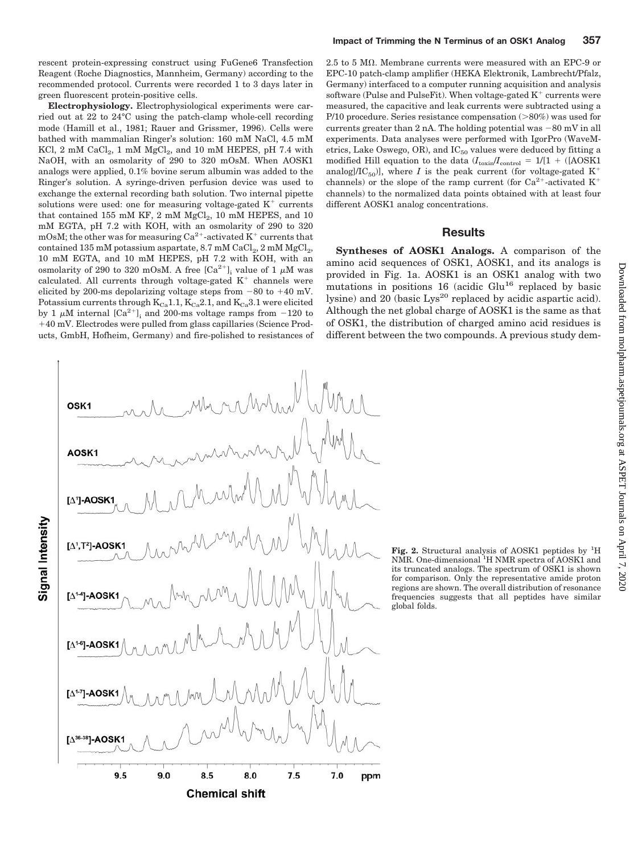rescent protein-expressing construct using FuGene6 Transfection Reagent (Roche Diagnostics, Mannheim, Germany) according to the recommended protocol. Currents were recorded 1 to 3 days later in green fluorescent protein-positive cells.

**Electrophysiology.** Electrophysiological experiments were carried out at 22 to 24°C using the patch-clamp whole-cell recording mode (Hamill et al., 1981; Rauer and Grissmer, 1996). Cells were bathed with mammalian Ringer's solution: 160 mM NaCl, 4.5 mM KCl,  $2 \text{ mM } \text{CaCl}_2$ ,  $1 \text{ mM } \text{MgCl}_2$ , and  $10 \text{ mM } \text{HEPES}$ ,  $pH 7.4 \text{ with }$ NaOH, with an osmolarity of 290 to 320 mOsM. When AOSK1 analogs were applied, 0.1% bovine serum albumin was added to the Ringer's solution. A syringe-driven perfusion device was used to exchange the external recording bath solution. Two internal pipette solutions were used: one for measuring voltage-gated  $K^+$  currents that contained 155 mM KF,  $2 \text{ mM MgCl}_2$ ,  $10 \text{ mM HEPES}$ , and  $10 \text{ m}$ mM EGTA, pH 7.2 with KOH, with an osmolarity of 290 to 320 mOsM; the other was for measuring  $Ca^{2+}$ -activated  $K^+$  currents that contained 135 mM potassium aspartate,  $8.7 \text{ mM } \text{CaCl}_2$ ,  $2 \text{ mM } \text{MgCl}_2$ , 10 mM EGTA, and 10 mM HEPES, pH 7.2 with KOH, with an osmolarity of 290 to 320 mOsM. A free  $[Ca^{2+}]$ , value of 1  $\mu$ M was calculated. All currents through voltage-gated  $K^+$  channels were elicited by 200-ms depolarizing voltage steps from  $-80$  to  $+40$  mV. Potassium currents through  $K_{Ca}1.1, K_{Ca}2.1$ , and  $K_{Ca}3.1$  were elicited by 1  $\mu$ M internal [Ca<sup>2+</sup>]<sub>i</sub> and 200-ms voltage ramps from -120 to 40 mV. Electrodes were pulled from glass capillaries (Science Products, GmbH, Hofheim, Germany) and fire-polished to resistances of  $2.5$  to 5 M $\Omega$ . Membrane currents were measured with an EPC-9 or EPC-10 patch-clamp amplifier (HEKA Elektronik, Lambrecht/Pfalz, Germany) interfaced to a computer running acquisition and analysis software (Pulse and PulseFit). When voltage-gated  $K^+$  currents were measured, the capacitive and leak currents were subtracted using a P/10 procedure. Series resistance compensation  $(>80\%)$  was used for currents greater than 2 nA. The holding potential was  $-80$  mV in all experiments. Data analyses were performed with IgorPro (WaveMetrics, Lake Oswego, OR), and  $IC_{50}$  values were deduced by fitting a modified Hill equation to the data  $(I_{\text{toxin}}/I_{\text{control}} = 1/[1 + ([\text{AOSK1}$ analog]/IC<sub>50</sub>)], where *I* is the peak current (for voltage-gated  $K^+$ channels) or the slope of the ramp current (for  $Ca^{2+}$ -activated K<sup>+</sup> channels) to the normalized data points obtained with at least four different AOSK1 analog concentrations.

## **Results**

**Syntheses of AOSK1 Analogs.** A comparison of the amino acid sequences of OSK1, AOSK1, and its analogs is provided in Fig. 1a. AOSK1 is an OSK1 analog with two mutations in positions  $16$  (acidic Glu<sup>16</sup> replaced by basic lysine) and  $20$  (basic Lys<sup>20</sup> replaced by acidic aspartic acid). Although the net global charge of AOSK1 is the same as that of OSK1, the distribution of charged amino acid residues is different between the two compounds. A previous study dem-



Fig. 2. Structural analysis of AOSK1 peptides by <sup>1</sup>H NMR. One-dimensional <sup>1</sup>H NMR spectra of AOSK1 and its truncated analogs. The spectrum of OSK1 is shown for comparison. Only the representative amide proton regions are shown. The overall distribution of resonance frequencies suggests that all peptides have similar global folds.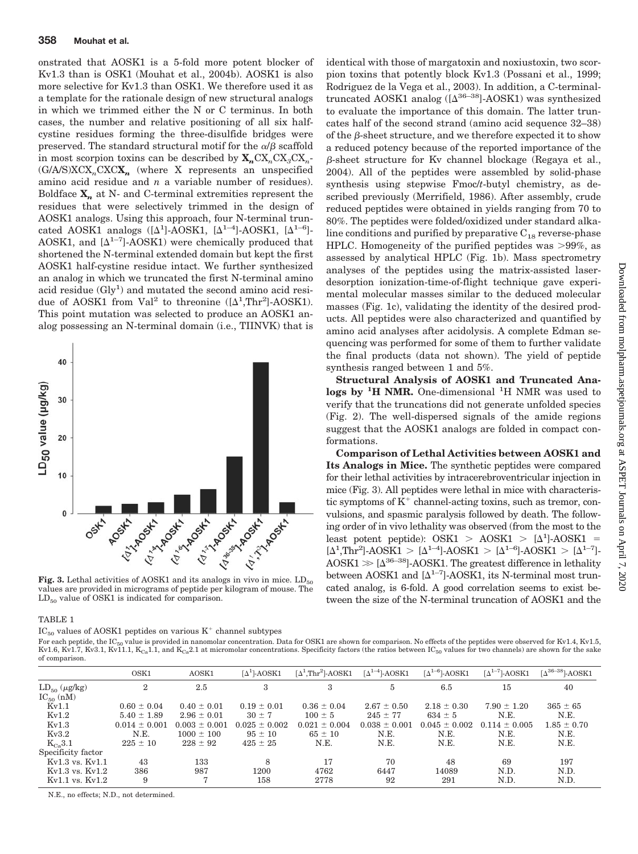onstrated that AOSK1 is a 5-fold more potent blocker of Kv1.3 than is OSK1 (Mouhat et al., 2004b). AOSK1 is also more selective for Kv1.3 than OSK1. We therefore used it as a template for the rationale design of new structural analogs in which we trimmed either the N or C terminus. In both cases, the number and relative positioning of all six halfcystine residues forming the three-disulfide bridges were preserved. The standard structural motif for the  $\alpha/\beta$  scaffold in most scorpion toxins can be described by  $X_n C X_n C X_n C X_n$ (G/A/S)XCX*n*CXC**X***<sup>n</sup>* (where X represents an unspecified amino acid residue and *n* a variable number of residues). Boldface  $X_n$  at N- and C-terminal extremities represent the residues that were selectively trimmed in the design of AOSK1 analogs. Using this approach, four N-terminal truncated AOSK1 analogs  $([\Delta^1]$ -AOSK1,  $[\Delta^{1-4}]$ -AOSK1,  $[\Delta^{1-6}]$ -AOSK1, and  $[\Delta^{1-7}]$ -AOSK1) were chemically produced that shortened the N-terminal extended domain but kept the first AOSK1 half-cystine residue intact. We further synthesized an analog in which we truncated the first N-terminal amino acid residue  $(Gly<sup>1</sup>)$  and mutated the second amino acid residue of AOSK1 from Val<sup>2</sup> to threonine  $([\Delta^1,\text{Thr}^2]-\text{AOSK1})$ . This point mutation was selected to produce an AOSK1 analog possessing an N-terminal domain (i.e., TIINVK) that is



**Fig. 3.** Lethal activities of AOSK1 and its analogs in vivo in mice.  $LD_{50}$ values are provided in micrograms of peptide per kilogram of mouse. The  $LD_{50}$  value of OSK1 is indicated for comparison.

# pion toxins that potently block Kv1.3 (Possani et al., 1999; Rodriguez de la Vega et al., 2003). In addition, a C-terminaltruncated AOSK1 analog  $([\Delta^{36-38}]$ -AOSK1) was synthesized to evaluate the importance of this domain. The latter truncates half of the second strand (amino acid sequence 32–38) of the  $\beta$ -sheet structure, and we therefore expected it to show a reduced potency because of the reported importance of the -sheet structure for Kv channel blockage (Regaya et al., 2004). All of the peptides were assembled by solid-phase synthesis using stepwise Fmoc/*t*-butyl chemistry, as described previously (Merrifield, 1986). After assembly, crude reduced peptides were obtained in yields ranging from 70 to 80%. The peptides were folded/oxidized under standard alkaline conditions and purified by preparative  $C_{18}$  reverse-phase HPLC. Homogeneity of the purified peptides was  $>99\%$ , as assessed by analytical HPLC (Fig. 1b). Mass spectrometry analyses of the peptides using the matrix-assisted laserdesorption ionization-time-of-flight technique gave experimental molecular masses similar to the deduced molecular masses (Fig. 1c), validating the identity of the desired products. All peptides were also characterized and quantified by amino acid analyses after acidolysis. A complete Edman sequencing was performed for some of them to further validate the final products (data not shown). The yield of peptide synthesis ranged between 1 and 5%.

identical with those of margatoxin and noxiustoxin, two scor-

**Structural Analysis of AOSK1 and Truncated Analogs by <sup>1</sup> H NMR.** One-dimensional <sup>1</sup> H NMR was used to verify that the truncations did not generate unfolded species (Fig. 2). The well-dispersed signals of the amide regions suggest that the AOSK1 analogs are folded in compact conformations.

**Comparison of Lethal Activities between AOSK1 and Its Analogs in Mice.** The synthetic peptides were compared for their lethal activities by intracerebroventricular injection in mice (Fig. 3). All peptides were lethal in mice with characteristic symptoms of  $K^+$  channel-acting toxins, such as tremor, convulsions, and spasmic paralysis followed by death. The following order of in vivo lethality was observed (from the most to the least potent peptide):  $OSK1 > AOSK1 > [\Delta^1]-AOSK1 =$  $[\Delta^1, Thr^2]$ -AOSK1 >  $[\Delta^{1-4}]$ -AOSK1 >  $[\Delta^{1-6}]$ -AOSK1 >  $[\Delta^{1-7}]$ - $AOSK1 \gg [\Delta^{36-38}]$ - $AOSK1$ . The greatest difference in lethality between AOSK1 and  $[\Delta^{1-7}]$ -AOSK1, its N-terminal most truncated analog, is 6-fold. A good correlation seems to exist between the size of the N-terminal truncation of AOSK1 and the

#### TABLE 1

 $IC_{50}$  values of AOSK1 peptides on various  $K^+$  channel subtypes

For each peptide, the IC<sub>50</sub> value is provided in nanomolar concentration. Data for OSK1 are shown for comparison. No effects of the peptides were observed for Kv1.4, Kv1.5, Kv1.6, Kv1.7, Kv3.1, Kv11.1, K<sub>Ca</sub>1.1, and K<sub>Ca</sub>2.1 at micromolar concentrations. Specificity factors (the ratios between IC<sub>50</sub> values for two channels) are shown for the sake of comparison.

|                      | OSK1              | AOSK1             | $\lceil \Delta^1 \rceil$ -AOSK1 | $\lceil \Delta^1,\text{Thr}^2 \rceil$ -AOSK1 | $\lceil \Delta^{1-4} \rceil$ -AOSK1 | $\lceil \Delta^{1-6} \rceil$ -AOSK1 | $\lceil \Delta^{1-7} \rceil$ -AOSK1 | $\lceil \Delta^{36-38} \rceil$ -AOSK1 |
|----------------------|-------------------|-------------------|---------------------------------|----------------------------------------------|-------------------------------------|-------------------------------------|-------------------------------------|---------------------------------------|
| $LD_{50} (\mu g/kg)$ | $\overline{2}$    | 2.5               | 3                               | 3                                            | 5                                   | 6.5                                 | 15                                  | 40                                    |
| $IC_{50}$ (nM)       |                   |                   |                                 |                                              |                                     |                                     |                                     |                                       |
| Kv1.1                | $0.60 \pm 0.04$   | $0.40 \pm 0.01$   | $0.19 \pm 0.01$                 | $0.36 \pm 0.04$                              | $2.67 \pm 0.50$                     | $2.18 \pm 0.30$                     | $7.90 \pm 1.20$                     | $365 \pm 65$                          |
| Kv1.2                | $5.40 \pm 1.89$   | $2.96 \pm 0.01$   | $30 \pm 7$                      | $100 \pm 5$                                  | $245 \pm 77$                        | $634 \pm 5$                         | N.E.                                | N.E.                                  |
| Kv1.3                | $0.014 \pm 0.001$ | $0.003 \pm 0.001$ | $0.025 \pm 0.002$               | $0.021 \pm 0.004$                            | $0.038 \pm 0.001$                   | $0.045 \pm 0.002$                   | $0.114 \pm 0.005$                   | $1.85 \pm 0.70$                       |
| Kv3.2                | N.E.              | $1000 \pm 100$    | $95 \pm 10$                     | $65 \pm 10$                                  | N.E.                                | N.E.                                | N.E.                                | N.E.                                  |
| $K_{Ca}3.1$          | $225 \pm 10$      | $228 \pm 92$      | $425 \pm 25$                    | N.E.                                         | N.E.                                | N.E.                                | N.E.                                | N.E.                                  |
| Specificity factor   |                   |                   |                                 |                                              |                                     |                                     |                                     |                                       |
| $Kv1.3$ vs. $Kv1.1$  | 43                | 133               | 8                               | 17                                           | 70                                  | 48                                  | 69                                  | 197                                   |
| $Kv1.3$ vs. $Kv1.2$  | 386               | 987               | 1200                            | 4762                                         | 6447                                | 14089                               | N.D.                                | N.D.                                  |
| $Kv1.1$ vs. $Kv1.2$  | 9                 | $\overline{7}$    | 158                             | 2778                                         | 92                                  | 291                                 | N.D.                                | N.D.                                  |

N.E., no effects; N.D., not determined.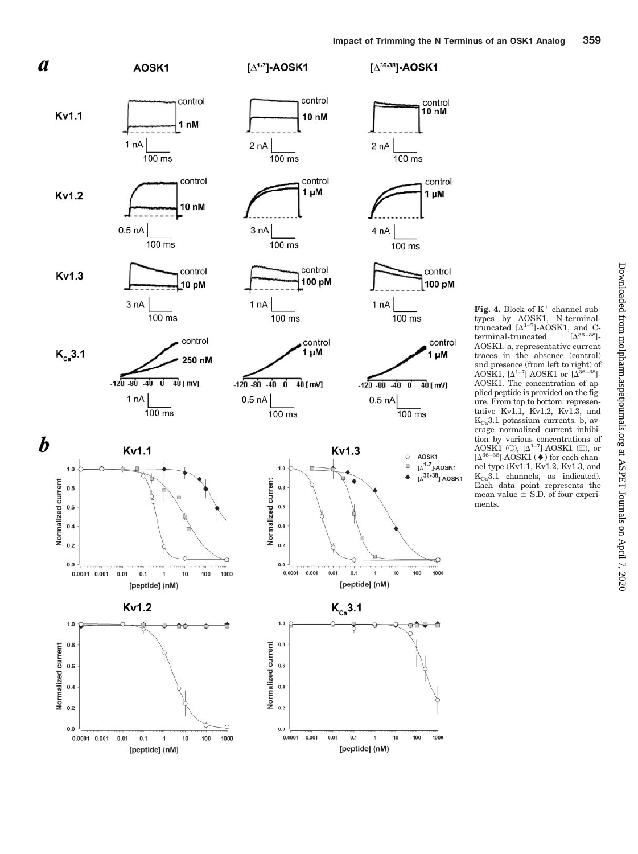

Fig. 4. Block of K<sup>+</sup> channel subtypes by AOSK1, N-terminaltruncated  $[\Delta^{1-7}]$ -AOSK1, and C $terminal$ -truncated  $\sqrt{|\Delta^{36-38}|}$ AOSK1. a, representative current traces in the absence (control) and presence (from left to right) of AOSK1,  $[\Delta^{1-7}]$ -AOSK1 or  $[\Delta^{36-38}]$ -AOSK1. The concentration of applied peptide is provided on the figure. From top to bottom: representative Kv1.1, Kv1.2, Kv1.3, and  $K_{Ca}$ 3.1 potassium currents. b, average normalized current inhibition by various concentrations of<br>AOSK1 (○),  $[\Delta^{1-7}]$ -AOSK1 (■), or  $[\Delta^{36-38}]$ -AOSK1 ( $\blacklozenge$ ) for each channel type (Kv1.1, Kv1.2, Kv1.3, and  $K_{Ca}3.1$  channels, as indicated). Each data point represents the mean value S.D. of four experiments.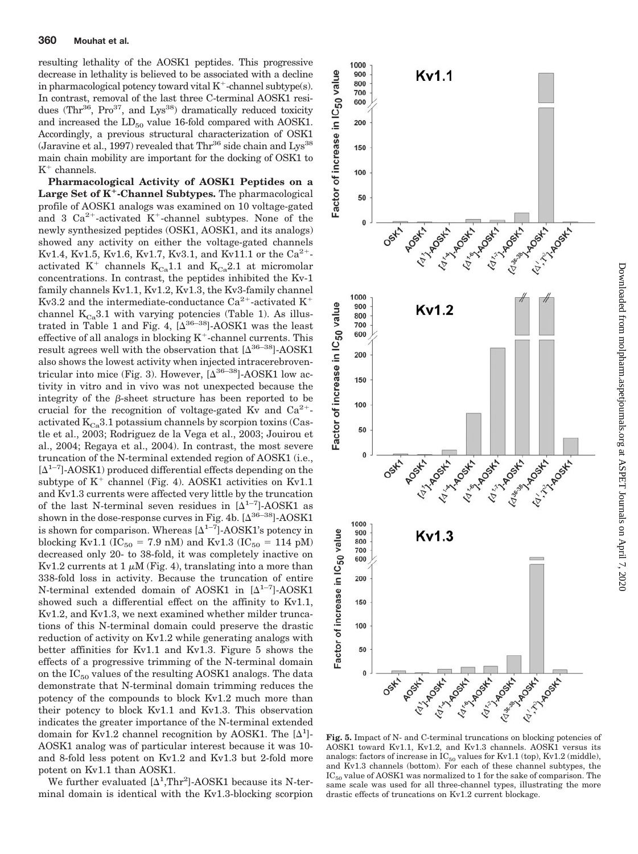resulting lethality of the AOSK1 peptides. This progressive decrease in lethality is believed to be associated with a decline in pharmacological potency toward vital  $K^+$ -channel subtype(s). In contrast, removal of the last three C-terminal AOSK1 residues (Thr<sup>36</sup>, Pro<sup>37</sup>, and Lys<sup>38</sup>) dramatically reduced toxicity and increased the  $LD_{50}$  value 16-fold compared with AOSK1. Accordingly, a previous structural characterization of OSK1 (Jaravine et al., 1997) revealed that  $Thr^{36}$  side chain and Lys<sup>38</sup> main chain mobility are important for the docking of OSK1 to  $K^+$  channels.

**Pharmacological Activity of AOSK1 Peptides on a Large Set of K-Channel Subtypes.** The pharmacological profile of AOSK1 analogs was examined on 10 voltage-gated and 3  $Ca^{2+}$ -activated K<sup>+</sup>-channel subtypes. None of the newly synthesized peptides (OSK1, AOSK1, and its analogs) showed any activity on either the voltage-gated channels Kv1.4, Kv1.5, Kv1.6, Kv1.7, Kv3.1, and Kv11.1 or the  $Ca^{2+}$ activated  $K^+$  channels  $K_{Ca}1.1$  and  $K_{Ca}2.1$  at micromolar concentrations. In contrast, the peptides inhibited the Kv-1 family channels Kv1.1, Kv1.2, Kv1.3, the Kv3-family channel Kv3.2 and the intermediate-conductance Ca<sup>2+</sup>-activated K<sup>+</sup> channel  $K_{Ca}3.1$  with varying potencies (Table 1). As illustrated in Table 1 and Fig. 4,  $[\Delta^{36-38}]$ -AOSK1 was the least effective of all analogs in blocking  $K^+$ -channel currents. This result agrees well with the observation that  $[\Delta^{36-38}]$ -AOSK1 also shows the lowest activity when injected intracerebroventricular into mice (Fig. 3). However,  $[\Delta^{36-38}]$ -AOSK1 low activity in vitro and in vivo was not unexpected because the integrity of the  $\beta$ -sheet structure has been reported to be crucial for the recognition of voltage-gated Kv and  $Ca^{2+}$ activated  $K_{Cs}$ 3.1 potassium channels by scorpion toxins (Castle et al., 2003; Rodriguez de la Vega et al., 2003; Jouirou et al., 2004; Regaya et al., 2004). In contrast, the most severe truncation of the N-terminal extended region of AOSK1 (i.e.,  $[\Delta^{1-7}]$ -AOSK1) produced differential effects depending on the subtype of  $K^+$  channel (Fig. 4). AOSK1 activities on Kv1.1 and Kv1.3 currents were affected very little by the truncation of the last N-terminal seven residues in  $[\Delta^{1-7}]$ -AOSK1 as shown in the dose-response curves in Fig. 4b.  $[\Delta^{36-38}]$ -AOSK1 is shown for comparison. Whereas  $[\Delta^{1-7}]$ -AOSK1's potency in blocking Kv1.1 ( $IC_{50} = 7.9$  nM) and Kv1.3 ( $IC_{50} = 114$  pM) decreased only 20- to 38-fold, it was completely inactive on Kv1.2 currents at 1  $\mu$ M (Fig. 4), translating into a more than 338-fold loss in activity. Because the truncation of entire N-terminal extended domain of AOSK1 in  $[\Delta^{1-7}]$ -AOSK1 showed such a differential effect on the affinity to Kv1.1, Kv1.2, and Kv1.3, we next examined whether milder truncations of this N-terminal domain could preserve the drastic reduction of activity on Kv1.2 while generating analogs with better affinities for Kv1.1 and Kv1.3. Figure 5 shows the effects of a progressive trimming of the N-terminal domain on the  $IC_{50}$  values of the resulting AOSK1 analogs. The data demonstrate that N-terminal domain trimming reduces the potency of the compounds to block Kv1.2 much more than their potency to block Kv1.1 and Kv1.3. This observation indicates the greater importance of the N-terminal extended domain for Kv1.2 channel recognition by AOSK1. The  $[\Delta^1]$ -AOSK1 analog was of particular interest because it was 10 and 8-fold less potent on Kv1.2 and Kv1.3 but 2-fold more potent on Kv1.1 than AOSK1.

We further evaluated  $[\Delta^1,\text{Thr}^2]$ -AOSK1 because its N-terminal domain is identical with the Kv1.3-blocking scorpion



**Fig. 5.** Impact of N- and C-terminal truncations on blocking potencies of AOSK1 toward Kv1.1, Kv1.2, and Kv1.3 channels. AOSK1 versus its analogs: factors of increase in  $IC_{50}$  values for Kv1.1 (top), Kv1.2 (middle), and Kv1.3 channels (bottom). For each of these channel subtypes, the  $IC_{50}$  value of AOSK1 was normalized to 1 for the sake of comparison. The same scale was used for all three-channel types, illustrating the more drastic effects of truncations on Kv1.2 current blockage.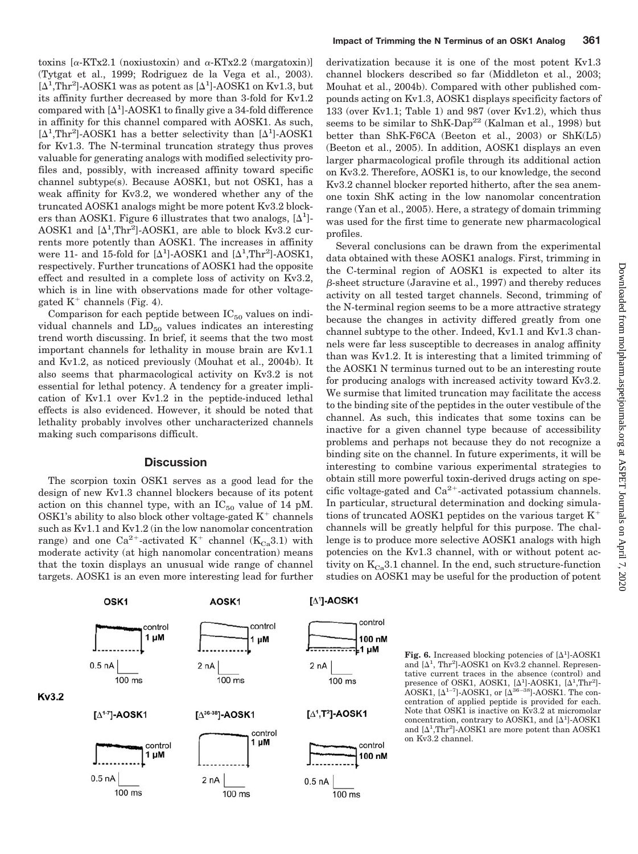toxins  $[\alpha$ -KTx2.1 (noxiustoxin) and  $\alpha$ -KTx2.2 (margatoxin)] (Tytgat et al., 1999; Rodriguez de la Vega et al., 2003).  $[\Delta^1, Thr^2]$ -AOSK1 was as potent as  $[\Delta^1]$ -AOSK1 on Kv1.3, but its affinity further decreased by more than 3-fold for Kv1.2 compared with  $[\Delta^1]$ -AOSK1 to finally give a 34-fold difference in affinity for this channel compared with AOSK1. As such,  $[\Delta^1, Thr^2]$ -AOSK1 has a better selectivity than  $[\Delta^1]$ -AOSK1 for Kv1.3. The N-terminal truncation strategy thus proves valuable for generating analogs with modified selectivity profiles and, possibly, with increased affinity toward specific channel subtype(s). Because AOSK1, but not OSK1, has a weak affinity for Kv3.2, we wondered whether any of the truncated AOSK1 analogs might be more potent Kv3.2 blockers than AOSK1. Figure 6 illustrates that two analogs,  $[\Delta^1]$ -AOSK1 and  $[\Delta^1, Thr^2]$ -AOSK1, are able to block Kv3.2 currents more potently than AOSK1. The increases in affinity were 11- and 15-fold for  $[\Delta^1]$ -AOSK1 and  $[\Delta^1, \text{Thr}^2]$ -AOSK1, respectively. Further truncations of AOSK1 had the opposite effect and resulted in a complete loss of activity on Kv3.2, which is in line with observations made for other voltagegated  $K^+$  channels (Fig. 4).

Comparison for each peptide between  $IC_{50}$  values on individual channels and  $LD_{50}$  values indicates an interesting trend worth discussing. In brief, it seems that the two most important channels for lethality in mouse brain are Kv1.1 and Kv1.2, as noticed previously (Mouhat et al., 2004b). It also seems that pharmacological activity on Kv3.2 is not essential for lethal potency. A tendency for a greater implication of Kv1.1 over Kv1.2 in the peptide-induced lethal effects is also evidenced. However, it should be noted that lethality probably involves other uncharacterized channels making such comparisons difficult.

## **Discussion**

The scorpion toxin OSK1 serves as a good lead for the design of new Kv1.3 channel blockers because of its potent action on this channel type, with an  $IC_{50}$  value of 14 pM. OSK1's ability to also block other voltage-gated  $K^+$  channels such as Kv1.1 and Kv1.2 (in the low nanomolar concentration range) and one Ca<sup>2+</sup>-activated K<sup>+</sup> channel (K<sub>Ca</sub>3.1) with moderate activity (at high nanomolar concentration) means that the toxin displays an unusual wide range of channel targets. AOSK1 is an even more interesting lead for further

derivatization because it is one of the most potent Kv1.3 channel blockers described so far (Middleton et al., 2003; Mouhat et al., 2004b). Compared with other published compounds acting on Kv1.3, AOSK1 displays specificity factors of 133 (over Kv1.1; Table 1) and 987 (over Kv1.2), which thus seems to be similar to ShK-Dap<sup>22</sup> (Kalman et al., 1998) but better than ShK-F6CA (Beeton et al., 2003) or ShK(L5) (Beeton et al., 2005). In addition, AOSK1 displays an even larger pharmacological profile through its additional action on Kv3.2. Therefore, AOSK1 is, to our knowledge, the second Kv3.2 channel blocker reported hitherto, after the sea anemone toxin ShK acting in the low nanomolar concentration range (Yan et al., 2005). Here, a strategy of domain trimming was used for the first time to generate new pharmacological profiles.

Several conclusions can be drawn from the experimental data obtained with these AOSK1 analogs. First, trimming in the C-terminal region of AOSK1 is expected to alter its  $\beta$ -sheet structure (Jaravine et al., 1997) and thereby reduces activity on all tested target channels. Second, trimming of the N-terminal region seems to be a more attractive strategy because the changes in activity differed greatly from one channel subtype to the other. Indeed, Kv1.1 and Kv1.3 channels were far less susceptible to decreases in analog affinity than was Kv1.2. It is interesting that a limited trimming of the AOSK1 N terminus turned out to be an interesting route for producing analogs with increased activity toward Kv3.2. We surmise that limited truncation may facilitate the access to the binding site of the peptides in the outer vestibule of the channel. As such, this indicates that some toxins can be inactive for a given channel type because of accessibility problems and perhaps not because they do not recognize a binding site on the channel. In future experiments, it will be interesting to combine various experimental strategies to obtain still more powerful toxin-derived drugs acting on specific voltage-gated and  $Ca^{2+}$ -activated potassium channels. In particular, structural determination and docking simulations of truncated AOSK1 peptides on the various target  $K^+$ channels will be greatly helpful for this purpose. The challenge is to produce more selective AOSK1 analogs with high potencies on the Kv1.3 channel, with or without potent activity on  $K_{Cs}$ 3.1 channel. In the end, such structure-function studies on AOSK1 may be useful for the production of potent



Fig. 6. Increased blocking potencies of  $[\Delta^1]$ -AOSK1 and  $[\Delta^1, Thr^2]$ -AOSK1 on Kv3.2 channel. Representative current traces in the absence (control) and presence of OSK1, AOSK1,  $[\Delta^1]$ -AOSK1,  $[\Delta^1]$ Thr<sup>2</sup>]-AOSK1,  $[\Delta^{1-7}]$ -AOSK1, or  $[\Delta^{36-38}]$ -AOSK1. The concentration of applied peptide is provided for each. Note that OSK1 is inactive on Kv3.2 at micromolar concentration, contrary to AOSK1, and  $[\Delta^1]$ -AOSK1 and  $[\Delta^1,\text{Thr}^2]$ -AOSK1 are more potent than AOSK1 on Kv3.2 channel.